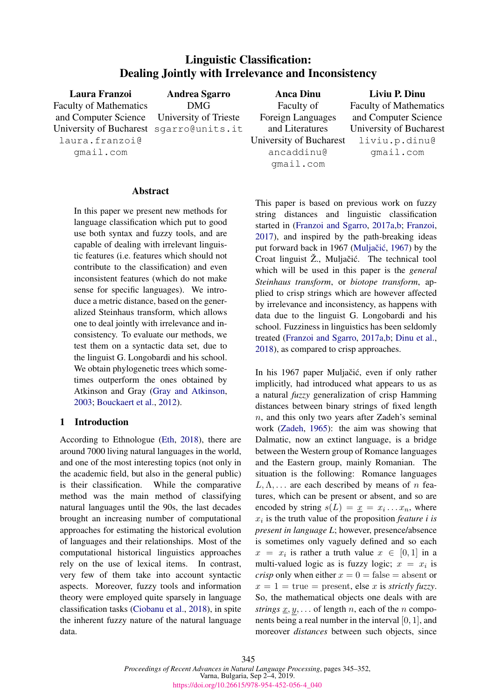# Linguistic Classification: Dealing Jointly with Irrelevance and Inconsistency

| Laura Franzoi                              | <b>Andrea Sgarro</b> | <b>Anca Dinu</b>        | Liviu P. Dinu                 |
|--------------------------------------------|----------------------|-------------------------|-------------------------------|
| <b>Faculty of Mathematics</b>              | <b>DMG</b>           | Faculty of              | <b>Faculty of Mathematics</b> |
| and Computer Science University of Trieste |                      | Foreign Languages       | and Computer Science          |
| University of Bucharest sgarro@units.it    |                      | and Literatures         | University of Bucharest       |
| laura.franzoi@                             |                      | University of Bucharest | liviu.p.dinu@                 |
| qmail.com                                  |                      | ancaddinu@              | qmail.com                     |
|                                            |                      | qmail.com               |                               |

### Abstract

In this paper we present new methods for language classification which put to good use both syntax and fuzzy tools, and are capable of dealing with irrelevant linguistic features (i.e. features which should not contribute to the classification) and even inconsistent features (which do not make sense for specific languages). We introduce a metric distance, based on the generalized Steinhaus transform, which allows one to deal jointly with irrelevance and inconsistency. To evaluate our methods, we test them on a syntactic data set, due to the linguist G. Longobardi and his school. We obtain phylogenetic trees which sometimes outperform the ones obtained by Atkinson and Gray [\(Gray and Atkinson,](#page-7-0) [2003;](#page-7-0) [Bouckaert et al.,](#page-6-0) [2012\)](#page-6-0).

### 1 Introduction

According to Ethnologue [\(Eth,](#page-6-1) [2018\)](#page-6-1), there are around 7000 living natural languages in the world, and one of the most interesting topics (not only in the academic field, but also in the general public) is their classification. While the comparative method was the main method of classifying natural languages until the 90s, the last decades brought an increasing number of computational approaches for estimating the historical evolution of languages and their relationships. Most of the computational historical linguistics approaches rely on the use of lexical items. In contrast, very few of them take into account syntactic aspects. Moreover, fuzzy tools and information theory were employed quite sparsely in language classification tasks [\(Ciobanu et al.,](#page-6-2) [2018\)](#page-6-2), in spite the inherent fuzzy nature of the natural language data.

This paper is based on previous work on fuzzy string distances and linguistic classification started in [\(Franzoi and Sgarro,](#page-7-1) [2017a,](#page-7-1)[b;](#page-7-2) [Franzoi,](#page-7-3) [2017\)](#page-7-3), and inspired by the path-breaking ideas put forward back in 1967 (Muljačić, [1967\)](#page-7-4) by the Croat linguist  $\check{Z}$ ., Muljačić. The technical tool which will be used in this paper is the *general Steinhaus transform*, or *biotope transform*, applied to crisp strings which are however affected by irrelevance and inconsistency, as happens with data due to the linguist G. Longobardi and his school. Fuzziness in linguistics has been seldomly treated [\(Franzoi and Sgarro,](#page-7-1) [2017a](#page-7-1)[,b;](#page-7-2) [Dinu et al.,](#page-7-5) [2018\)](#page-7-5), as compared to crisp approaches.

In his 1967 paper Muljačić, even if only rather implicitly, had introduced what appears to us as a natural *fuzzy* generalization of crisp Hamming distances between binary strings of fixed length  $n$ , and this only two years after Zadeh's seminal work [\(Zadeh,](#page-7-6) [1965\)](#page-7-6): the aim was showing that Dalmatic, now an extinct language, is a bridge between the Western group of Romance languages and the Eastern group, mainly Romanian. The situation is the following: Romance languages  $L, \Lambda, \ldots$  are each described by means of n features, which can be present or absent, and so are encoded by string  $s(L) = \underline{x} = x_i \dots x_n$ , where  $x_i$  is the truth value of the proposition *feature i is present in language L*; however, presence/absence is sometimes only vaguely defined and so each  $x = x_i$  is rather a truth value  $x \in [0,1]$  in a multi-valued logic as is fuzzy logic;  $x = x_i$  is *crisp* only when either  $x = 0$  = false = absent or  $x = 1$  = true = present, else x is *strictly fuzzy*. So, the mathematical objects one deals with are *strings*  $\underline{x}, y, \dots$  of length *n*, each of the *n* components being a real number in the interval  $[0, 1]$ , and moreover *distances* between such objects, since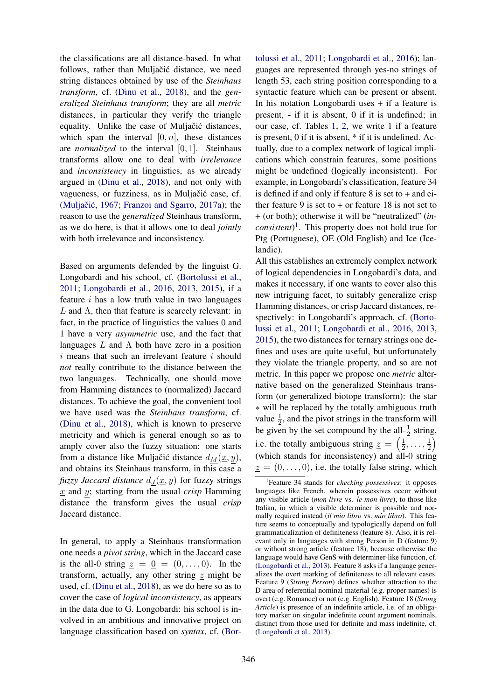the classifications are all distance-based. In what follows, rather than Muljačić distance, we need string distances obtained by use of the *Steinhaus transform*, cf. [\(Dinu et al.,](#page-7-5) [2018\)](#page-7-5), and the *generalized Steinhaus transform*; they are all *metric* distances, in particular they verify the triangle equality. Unlike the case of Muljačić distances, which span the interval  $[0, n]$ , these distances are *normalized* to the interval [0, 1]. Steinhaus transforms allow one to deal with *irrelevance* and *inconsistency* in linguistics, as we already argued in [\(Dinu et al.,](#page-7-5) [2018\)](#page-7-5), and not only with vagueness, or fuzziness, as in Muljačić case, cf. (Muljačić, [1967;](#page-7-4) [Franzoi and Sgarro,](#page-7-1) [2017a\)](#page-7-1); the reason to use the *generalized* Steinhaus transform, as we do here, is that it allows one to deal *jointly* with both irrelevance and inconsistency.

Based on arguments defended by the linguist G. Longobardi and his school, cf. [\(Bortolussi et al.,](#page-6-3) [2011;](#page-6-3) [Longobardi et al.,](#page-7-7) [2016,](#page-7-7) [2013,](#page-7-8) [2015\)](#page-7-9), if a feature  $i$  has a low truth value in two languages L and  $\Lambda$ , then that feature is scarcely relevant: in fact, in the practice of linguistics the values 0 and 1 have a very *asymmetric* use, and the fact that languages L and  $\Lambda$  both have zero in a position  $i$  means that such an irrelevant feature  $i$  should *not* really contribute to the distance between the two languages. Technically, one should move from Hamming distances to (normalized) Jaccard distances. To achieve the goal, the convenient tool we have used was the *Steinhaus transform*, cf. [\(Dinu et al.,](#page-7-5) [2018\)](#page-7-5), which is known to preserve metricity and which is general enough so as to amply cover also the fuzzy situation: one starts from a distance like Muljačić distance  $d_M(\underline{x}, y)$ , and obtains its Steinhaus transform, in this case a *fuzzy Jaccard distance*  $d_J(\underline{x}, y)$  for fuzzy strings x and y; starting from the usual *crisp* Hamming distance the transform gives the usual *crisp* Jaccard distance.

In general, to apply a Steinhaus transformation one needs a *pivot string*, which in the Jaccard case is the all-0 string  $z = 0 = (0, \ldots, 0)$ . In the transform, actually, any other string  $\frac{z}{z}$  might be used, cf. [\(Dinu et al.,](#page-7-5) [2018\)](#page-7-5), as we do here so as to cover the case of *logical inconsistency*, as appears in the data due to G. Longobardi: his school is involved in an ambitious and innovative project on language classification based on *syntax*, cf. [\(Bor-](#page-6-3)

[tolussi et al.,](#page-6-3) [2011;](#page-6-3) [Longobardi et al.,](#page-7-7) [2016\)](#page-7-7); languages are represented through yes-no strings of length 53, each string position corresponding to a syntactic feature which can be present or absent. In his notation Longobardi uses + if a feature is present, - if it is absent, 0 if it is undefined; in our case, cf. Tables [1,](#page-6-4) [2,](#page-6-5) we write 1 if a feature is present, 0 if it is absent, \* if it is undefined. Actually, due to a complex network of logical implications which constrain features, some positions might be undefined (logically inconsistent). For example, in Longobardi's classification, feature 34 is defined if and only if feature  $8$  is set to  $+$  and either feature 9 is set to  $+$  or feature 18 is not set to + (or both); otherwise it will be "neutralized" (*inconsistent*) [1](#page-1-0) . This property does not hold true for Ptg (Portuguese), OE (Old English) and Ice (Icelandic).

All this establishes an extremely complex network of logical dependencies in Longobardi's data, and makes it necessary, if one wants to cover also this new intriguing facet, to suitably generalize crisp Hamming distances, or crisp Jaccard distances, respectively: in Longobardi's approach, cf. [\(Borto](#page-6-3)[lussi et al.,](#page-6-3) [2011;](#page-6-3) [Longobardi et al.,](#page-7-7) [2016,](#page-7-7) [2013,](#page-7-8) [2015\)](#page-7-9), the two distances for ternary strings one defines and uses are quite useful, but unfortunately they violate the triangle property, and so are not metric. In this paper we propose one *metric* alternative based on the generalized Steinhaus transform (or generalized biotope transform): the star ∗ will be replaced by the totally ambiguous truth value  $\frac{1}{2}$ , and the pivot strings in the transform will be given by the set compound by the all- $\frac{1}{2}$  string, i.e. the totally ambiguous string  $z = \left(\frac{1}{2}\right)$  $\frac{1}{2}, \ldots, \frac{1}{2}$  $rac{1}{2}$ (which stands for inconsistency) and all-0 string  $z = (0, \ldots, 0)$ , i.e. the totally false string, which

<span id="page-1-0"></span><sup>1</sup> Feature 34 stands for *checking possessives*: it opposes languages like French, wherein possessives occur without any visible article (*mon livre* vs. *le mon livre*), to those like Italian, in which a visible determiner is possible and normally required instead (*il mio libro* vs. *mio libro*). This feature seems to conceptually and typologically depend on full grammaticalization of definiteness (feature 8). Also, it is relevant only in languages with strong Person in D (feature 9) or without strong article (feature 18), because otherwise the language would have GenS with determiner-like function, cf. [\(Longobardi et al.,](#page-7-8) [2013\)](#page-7-8). Feature 8 asks if a language generalizes the overt marking of definiteness to all relevant cases. Feature 9 (*Strong Person*) defines whether attraction to the D area of referential nominal material (e.g. proper names) is overt (e.g. Romance) or not (e.g. English). Feature 18 (*Strong Article*) is presence of an indefinite article, i.e. of an obligatory marker on singular indefinite count argument nominals, distinct from those used for definite and mass indefinite, cf. [\(Longobardi et al.,](#page-7-8) [2013\)](#page-7-8).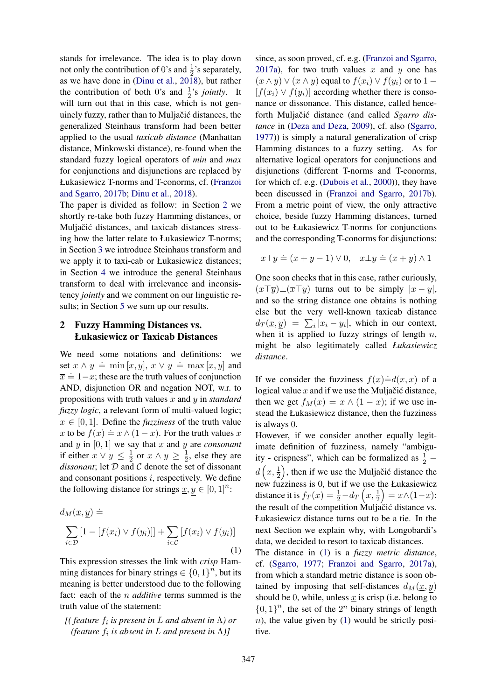stands for irrelevance. The idea is to play down not only the contribution of 0's and  $\frac{1}{2}$ 's separately, as we have done in [\(Dinu et al.,](#page-7-5) [2018\)](#page-7-5), but rather the contribution of both 0's and  $\frac{1}{2}$ 's *jointly*. It will turn out that in this case, which is not genuinely fuzzy, rather than to Muljačić distances, the generalized Steinhaus transform had been better applied to the usual *taxicab distance* (Manhattan distance, Minkowski distance), re-found when the standard fuzzy logical operators of *min* and *max* for conjunctions and disjunctions are replaced by Łukasiewicz T-norms and T-conorms, cf. [\(Franzoi](#page-7-2) [and Sgarro,](#page-7-2) [2017b;](#page-7-2) [Dinu et al.,](#page-7-5) [2018\)](#page-7-5).

The paper is divided as follow: in Section [2](#page-2-0) we shortly re-take both fuzzy Hamming distances, or Muljačić distances, and taxicab distances stressing how the latter relate to Łukasiewicz T-norms; in Section [3](#page-3-0) we introduce Steinhaus transform and we apply it to taxi-cab or Łukasiewicz distances; in Section [4](#page-3-1) we introduce the general Steinhaus transform to deal with irrelevance and inconsistency *jointly* and we comment on our linguistic results; in Section [5](#page-5-0) we sum up our results.

## <span id="page-2-0"></span>2 Fuzzy Hamming Distances vs. Łukasiewicz or Taxicab Distances

We need some notations and definitions: we set  $x \wedge y \doteq \min[x, y], x \vee y \doteq \max[x, y]$  and  $\overline{x} = 1-x$ ; these are the truth values of conjunction AND, disjunction OR and negation NOT, w.r. to propositions with truth values x and y in *standard fuzzy logic*, a relevant form of multi-valued logic;  $x \in [0, 1]$ . Define the *fuzziness* of the truth value x to be  $f(x) \doteq x \wedge (1-x)$ . For the truth values x and y in [0, 1] we say that x and y are *consonant* if either  $x \vee y \leq \frac{1}{2}$  $\frac{1}{2}$  or  $x \wedge y \geq \frac{1}{2}$  $\frac{1}{2}$ , else they are *dissonant*; let D and C denote the set of dissonant and consonant positions  $i$ , respectively. We define the following distance for strings  $\underline{x}, y \in [0, 1]^n$ :

<span id="page-2-1"></span>
$$
d_M(\underline{x}, \underline{y}) \doteq \sum_{i \in \mathcal{D}} [1 - [f(x_i) \vee f(y_i)]] + \sum_{i \in \mathcal{C}} [f(x_i) \vee f(y_i)] \tag{1}
$$

This expression stresses the link with *crisp* Hamming distances for binary strings  $\in \{0,1\}^n$ , but its meaning is better understood due to the following fact: each of the n *additive* terms summed is the truth value of the statement:

*[( feature* f<sup>i</sup> *is present in* L *and absent in* Λ*) or (feature*  $f_i$  *is absent in L and present in*  $\Lambda$ )]

since, as soon proved, cf. e.g. [\(Franzoi and Sgarro,](#page-7-1) [2017a\)](#page-7-1), for two truth values x and y one has  $(x \wedge \overline{y}) \vee (\overline{x} \wedge y)$  equal to  $f(x_i) \vee f(y_i)$  or to  $1 [f(x_i) \vee f(y_i)]$  according whether there is consonance or dissonance. This distance, called henceforth Muljačić distance (and called Sgarro dis*tance* in [\(Deza and Deza,](#page-7-10) [2009\)](#page-7-10), cf. also [\(Sgarro,](#page-7-11) [1977\)](#page-7-11)) is simply a natural generalization of crisp Hamming distances to a fuzzy setting. As for alternative logical operators for conjunctions and disjunctions (different T-norms and T-conorms, for which cf. e.g. [\(Dubois et al.,](#page-7-12) [2000\)](#page-7-12)), they have been discussed in [\(Franzoi and Sgarro,](#page-7-2) [2017b\)](#page-7-2). From a metric point of view, the only attractive choice, beside fuzzy Hamming distances, turned out to be Łukasiewicz T-norms for conjunctions and the corresponding T-conorms for disjunctions:

$$
x \top y \doteq (x + y - 1) \lor 0, \quad x \bot y \doteq (x + y) \land 1
$$

One soon checks that in this case, rather curiously,  $(x\top \overline{y})\bot(\overline{x}\top y)$  turns out to be simply  $|x-y|$ , and so the string distance one obtains is nothing else but the very well-known taxicab distance  $d_T(\underline{x}, \underline{y}) = \sum_i |x_i - y_i|$ , which in our context, when it is applied to fuzzy strings of length  $n$ , might be also legitimately called *Łukasiewicz distance*.

If we consider the fuzziness  $f(x)=d(x, x)$  of a logical value  $x$  and if we use the Muljačić distance, then we get  $f_M(x) = x \wedge (1 - x)$ ; if we use instead the Łukasiewicz distance, then the fuzziness is always 0.

However, if we consider another equally legitimate definition of fuzziness, namely "ambiguity - crispness", which can be formalized as  $\frac{1}{2}$  –  $d\left(x, \frac{1}{2}\right)$ , then if we use the Muljačić distance the new fuzziness is 0, but if we use the Łukasiewicz distance it is  $f_T(x) = \frac{1}{2} - d_T\left(x, \frac{1}{2}\right) = x \wedge (1-x)$ : the result of the competition Muljačić distance vs. Łukasiewicz distance turns out to be a tie. In the next Section we explain why, with Longobardi's data, we decided to resort to taxicab distances.

The distance in [\(1\)](#page-2-1) is a *fuzzy metric distance*, cf. [\(Sgarro,](#page-7-11) [1977;](#page-7-11) [Franzoi and Sgarro,](#page-7-1) [2017a\)](#page-7-1), from which a standard metric distance is soon obtained by imposing that self-distances  $d_M(x, y)$ should be 0, while, unless  $x$  is crisp (i.e. belong to  $\{0, 1\}^n$ , the set of the  $2^n$  binary strings of length  $n$ ), the value given by [\(1\)](#page-2-1) would be strictly positive.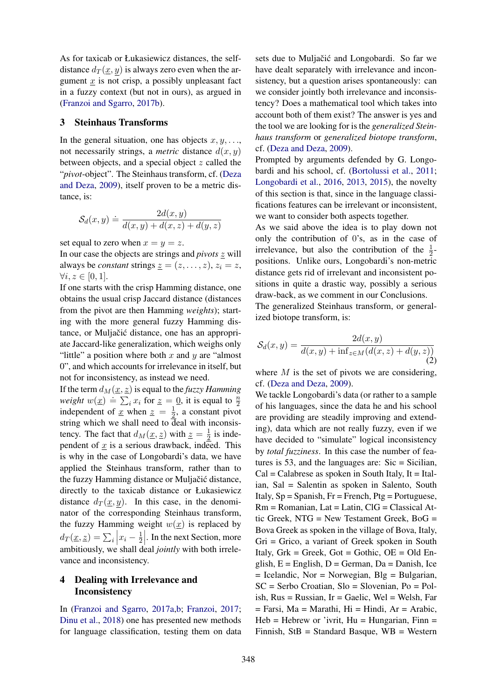As for taxicab or Łukasiewicz distances, the selfdistance  $d_T(x, y)$  is always zero even when the argument  $x$  is not crisp, a possibly unpleasant fact in a fuzzy context (but not in ours), as argued in [\(Franzoi and Sgarro,](#page-7-2) [2017b\)](#page-7-2).

### <span id="page-3-0"></span>3 Steinhaus Transforms

In the general situation, one has objects  $x, y, \ldots$ , not necessarily strings, a *metric* distance  $d(x, y)$ between objects, and a special object z called the "*pivot*-object". The Steinhaus transform, cf. [\(Deza](#page-7-10) [and Deza,](#page-7-10) [2009\)](#page-7-10), itself proven to be a metric distance, is:

$$
\mathcal{S}_d(x,y) \doteq \frac{2d(x,y)}{d(x,y) + d(x,z) + d(y,z)}
$$

set equal to zero when  $x = y = z$ .

In our case the objects are strings and *pivots* z will always be *constant* strings  $z = (z, \ldots, z), z_i = z$ ,  $\forall i, z \in [0, 1].$ 

If one starts with the crisp Hamming distance, one obtains the usual crisp Jaccard distance (distances from the pivot are then Hamming *weights*); starting with the more general fuzzy Hamming distance, or Muljačić distance, one has an appropriate Jaccard-like generalization, which weighs only "little" a position where both  $x$  and  $y$  are "almost" 0", and which accounts for irrelevance in itself, but not for inconsistency, as instead we need.

If the term  $d_M(\underline{x}, \underline{z})$  is equal to the *fuzzy Hamming weight*  $w(\underline{x}) \doteq \sum_i x_i$  for  $\underline{z} = \underline{0}$ , it is equal to  $\frac{\pi}{2}$ independent of <u>x</u> when  $z = \frac{1}{2}$  $\frac{1}{2}$ , a constant pivot string which we shall need to  $\overline{d}$ eal with inconsistency. The fact that  $d_M(\underline{x}, \underline{z})$  with  $\underline{z} = \frac{1}{2}$  $\frac{1}{2}$  is independent of  $x$  is a serious drawback, indeed. This is why in the case of Longobardi's data, we have applied the Steinhaus transform, rather than to the fuzzy Hamming distance or Muljačić distance, directly to the taxicab distance or Łukasiewicz distance  $d_T(\underline{x}, y)$ . In this case, in the denominator of the corresponding Steinhaus transform, the fuzzy Hamming weight  $w(x)$  is replaced by  $d_T(\underline{x}, \underline{z}) = \sum_i |x_i - \frac{1}{2}|$  $\frac{1}{2}$ . In the next Section, more ambitiously, we shall deal *jointly* with both irrelevance and inconsistency.

# <span id="page-3-1"></span>4 Dealing with Irrelevance and Inconsistency

In [\(Franzoi and Sgarro,](#page-7-1) [2017a,](#page-7-1)[b;](#page-7-2) [Franzoi,](#page-7-3) [2017;](#page-7-3) [Dinu et al.,](#page-7-5) [2018\)](#page-7-5) one has presented new methods for language classification, testing them on data

sets due to Muljačić and Longobardi. So far we have dealt separately with irrelevance and inconsistency, but a question arises spontaneously: can we consider jointly both irrelevance and inconsistency? Does a mathematical tool which takes into account both of them exist? The answer is yes and the tool we are looking for is the *generalized Steinhaus transform* or *generalized biotope transform*, cf. [\(Deza and Deza,](#page-7-10) [2009\)](#page-7-10).

Prompted by arguments defended by G. Longobardi and his school, cf. [\(Bortolussi et al.,](#page-6-3) [2011;](#page-6-3) [Longobardi et al.,](#page-7-7) [2016,](#page-7-7) [2013,](#page-7-8) [2015\)](#page-7-9), the novelty of this section is that, since in the language classifications features can be irrelevant or inconsistent, we want to consider both aspects together.

As we said above the idea is to play down not only the contribution of 0's, as in the case of irrelevance, but also the contribution of the  $\frac{1}{2}$ positions. Unlike ours, Longobardi's non-metric distance gets rid of irrelevant and inconsistent positions in quite a drastic way, possibly a serious draw-back, as we comment in our Conclusions.

The generalized Steinhaus transform, or generalized biotope transform, is:

<span id="page-3-2"></span>
$$
\mathcal{S}_d(x,y) = \frac{2d(x,y)}{d(x,y) + \inf_{z \in M} (d(x,z) + d(y,z))}
$$
(2)

where  $M$  is the set of pivots we are considering, cf. [\(Deza and Deza,](#page-7-10) [2009\)](#page-7-10).

We tackle Longobardi's data (or rather to a sample of his languages, since the data he and his school are providing are steadily improving and extending), data which are not really fuzzy, even if we have decided to "simulate" logical inconsistency by *total fuzziness*. In this case the number of features is 53, and the languages are:  $Sic = Sicilian$ ,  $Cal = Calabrese$  as spoken in South Italy, It = Italian, Sal = Salentin as spoken in Salento, South Italy,  $Sp = Spanish$ ,  $Fr = French$ ,  $Pt = Portuquese$ , Rm = Romanian, Lat = Latin, ClG = Classical Attic Greek, NTG = New Testament Greek, BoG = Bova Greek as spoken in the village of Bova, Italy, Gri = Grico, a variant of Greek spoken in South Italy,  $Grk = Greek$ ,  $Got = Gothic$ ,  $OE = Old En$ glish,  $E =$  English,  $D =$  German,  $Da =$  Danish, Ice  $=$  Icelandic, Nor  $=$  Norwegian, Blg  $=$  Bulgarian, SC = Serbo Croatian, Slo = Slovenian, Po = Polish,  $Rus = Russian$ ,  $Ir = Gaelic$ ,  $Wel = Welsh$ ,  $Far$  $=$  Farsi, Ma  $=$  Marathi, Hi  $=$  Hindi, Ar  $=$  Arabic,  $Heb = Hebrew$  or 'ivrit,  $Hu = Hungarian$ ,  $Finn =$ Finnish, StB = Standard Basque, WB = Western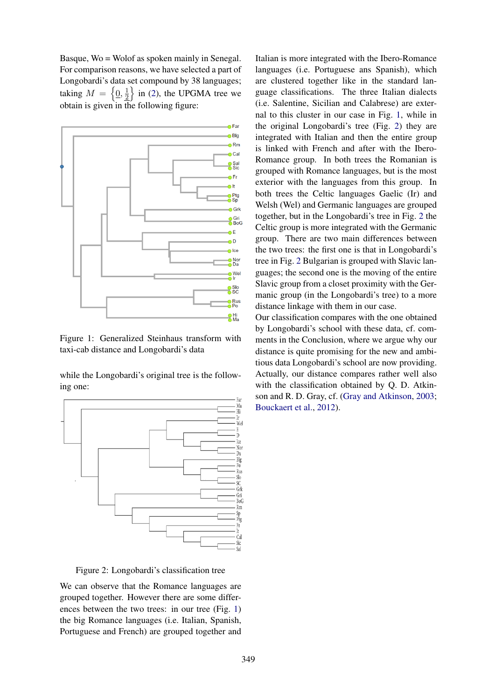Basque, Wo = Wolof as spoken mainly in Senegal. For comparison reasons, we have selected a part of Longobardi's data set compound by 38 languages; taking  $M = \left\{ \underline{0}, \frac{1}{2} \right\}$  $\frac{1}{2}$  in [\(2\)](#page-3-2), the UPGMA tree we obtain is given in the following figure:



<span id="page-4-0"></span>Figure 1: Generalized Steinhaus transform with taxi-cab distance and Longobardi's data

while the Longobardi's original tree is the following one:



<span id="page-4-1"></span>Figure 2: Longobardi's classification tree

We can observe that the Romance languages are grouped together. However there are some differences between the two trees: in our tree (Fig. [1\)](#page-4-0) the big Romance languages (i.e. Italian, Spanish, Portuguese and French) are grouped together and

Italian is more integrated with the Ibero-Romance languages (i.e. Portuguese ans Spanish), which are clustered together like in the standard language classifications. The three Italian dialects (i.e. Salentine, Sicilian and Calabrese) are external to this cluster in our case in Fig. [1,](#page-4-0) while in the original Longobardi's tree (Fig. [2\)](#page-4-1) they are integrated with Italian and then the entire group is linked with French and after with the Ibero-Romance group. In both trees the Romanian is grouped with Romance languages, but is the most exterior with the languages from this group. In both trees the Celtic languages Gaelic (Ir) and Welsh (Wel) and Germanic languages are grouped together, but in the Longobardi's tree in Fig. [2](#page-4-1) the Celtic group is more integrated with the Germanic group. There are two main differences between the two trees: the first one is that in Longobardi's tree in Fig. [2](#page-4-1) Bulgarian is grouped with Slavic languages; the second one is the moving of the entire Slavic group from a closet proximity with the Germanic group (in the Longobardi's tree) to a more distance linkage with them in our case.

Our classification compares with the one obtained by Longobardi's school with these data, cf. comments in the Conclusion, where we argue why our distance is quite promising for the new and ambitious data Longobardi's school are now providing. Actually, our distance compares rather well also with the classification obtained by Q. D. Atkinson and R. D. Gray, cf. [\(Gray and Atkinson,](#page-7-0) [2003;](#page-7-0) [Bouckaert et al.,](#page-6-0) [2012\)](#page-6-0).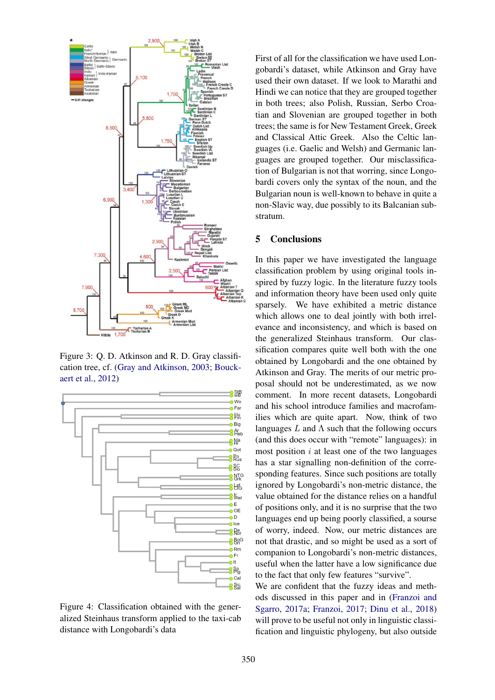

Figure 3: Q. D. Atkinson and R. D. Gray classification tree, cf. [\(Gray and Atkinson,](#page-7-0) [2003;](#page-7-0) [Bouck](#page-6-0)[aert et al.,](#page-6-0) [2012\)](#page-6-0)



Figure 4: Classification obtained with the generalized Steinhaus transform applied to the taxi-cab distance with Longobardi's data

First of all for the classification we have used Longobardi's dataset, while Atkinson and Gray have used their own dataset. If we look to Marathi and Hindi we can notice that they are grouped together in both trees; also Polish, Russian, Serbo Croatian and Slovenian are grouped together in both trees; the same is for New Testament Greek, Greek and Classical Attic Greek. Also the Celtic languages (i.e. Gaelic and Welsh) and Germanic languages are grouped together. Our misclassification of Bulgarian is not that worring, since Longobardi covers only the syntax of the noun, and the Bulgarian noun is well-known to behave in quite a non-Slavic way, due possibly to its Balcanian substratum.

### <span id="page-5-0"></span>5 Conclusions

In this paper we have investigated the language classification problem by using original tools inspired by fuzzy logic. In the literature fuzzy tools and information theory have been used only quite sparsely. We have exhibited a metric distance which allows one to deal jointly with both irrelevance and inconsistency, and which is based on the generalized Steinhaus transform. Our classification compares quite well both with the one obtained by Longobardi and the one obtained by Atkinson and Gray. The merits of our metric proposal should not be underestimated, as we now comment. In more recent datasets, Longobardi and his school introduce families and macrofamilies which are quite apart. Now, think of two languages  $L$  and  $\Lambda$  such that the following occurs (and this does occur with "remote" languages): in most position  $i$  at least one of the two languages has a star signalling non-definition of the corresponding features. Since such positions are totally ignored by Longobardi's non-metric distance, the value obtained for the distance relies on a handful of positions only, and it is no surprise that the two languages end up being poorly classified, a sourse of worry, indeed. Now, our metric distances are not that drastic, and so might be used as a sort of companion to Longobardi's non-metric distances, useful when the latter have a low significance due to the fact that only few features "survive".

We are confident that the fuzzy ideas and methods discussed in this paper and in [\(Franzoi and](#page-7-1) [Sgarro,](#page-7-1) [2017a;](#page-7-1) [Franzoi,](#page-7-3) [2017;](#page-7-3) [Dinu et al.,](#page-7-5) [2018\)](#page-7-5) will prove to be useful not only in linguistic classification and linguistic phylogeny, but also outside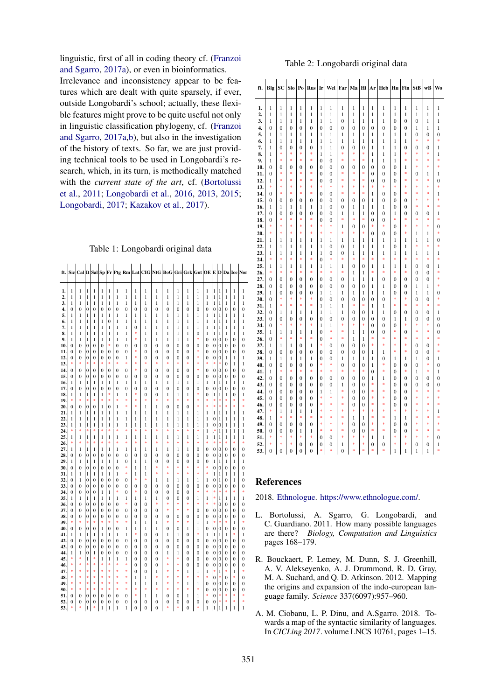linguistic, first of all in coding theory cf. [\(Franzoi](#page-7-1) [and Sgarro,](#page-7-1) [2017a\)](#page-7-1), or even in bioinformatics.

Irrelevance and inconsistency appear to be features which are dealt with quite sparsely, if ever, outside Longobardi's school; actually, these flexible features might prove to be quite useful not only in linguistic classification phylogeny, cf. [\(Franzoi](#page-7-1) [and Sgarro,](#page-7-1) [2017a,](#page-7-1)[b\)](#page-7-2), but also in the investigation of the history of texts. So far, we are just providing technical tools to be used in Longobardi's research, which, in its turn, is methodically matched with the *current state of the art*, cf. [\(Bortolussi](#page-6-3) [et al.,](#page-6-3) [2011;](#page-6-3) [Longobardi et al.,](#page-7-7) [2016,](#page-7-7) [2013,](#page-7-8) [2015;](#page-7-9) [Longobardi,](#page-7-13) [2017;](#page-7-13) [Kazakov et al.,](#page-7-14) [2017\)](#page-7-14).

### <span id="page-6-4"></span>Table 1: Longobardi original data

| $\kappa$ , $ Sic Cal $ It $ Sal Sp F\Gamma Prg Rm Lat CIG NG BoG Gri Grk Got OE E D Da Ice Nor$ |  |
|-------------------------------------------------------------------------------------------------|--|

| 1.         | 1                        | 1                        | 1                          | 1                  | 1                          | 1                    | 1                          | 1                   | 1                                | 1                                    | 1                   | 1                              | 1                              | 1                              | 1                                | 1                                | 1                          | $\mathbf{1}$             | $\mathbf{1}$               | 1                                | 1                                    |
|------------|--------------------------|--------------------------|----------------------------|--------------------|----------------------------|----------------------|----------------------------|---------------------|----------------------------------|--------------------------------------|---------------------|--------------------------------|--------------------------------|--------------------------------|----------------------------------|----------------------------------|----------------------------|--------------------------|----------------------------|----------------------------------|--------------------------------------|
| 2.         | 1                        | 1                        | 1                          | 1                  | 1                          | 1                    | 1                          | 1                   | 1                                | 1                                    | 1                   | 1                              | 1                              | 1                              | 1                                | 1                                | 1                          | 1                        | $\mathbf{1}$               | 1                                | 1                                    |
| 3.         | 1                        | 1                        | 1                          | 1                  | 1                          | 1                    | 1                          | 1                   | 1                                | 1                                    | 1                   | 1                              | $\mathbf{1}$                   | 1                              | 1                                | 1                                | 1                          | 1                        | 1                          | 1                                | 1                                    |
| 4.         | $\bf{0}$                 | $\overline{0}$           | $\overline{0}$             | 0                  | $\overline{0}$             | $\bf{0}$             | $\bf{0}$                   | $\bf{0}$            | $\bf{0}$                         | $\boldsymbol{0}$                     | $\overline{0}$      | $\overline{0}$                 | $\overline{0}$                 | $\overline{0}$                 | $\overline{0}$                   | $\overline{0}$                   | $\bf{0}$                   | $\bf{0}$                 | $\bf{0}$                   | $\overline{0}$                   | $\boldsymbol{0}$                     |
| 5.         | 1                        | 1                        | 1                          | 1                  | 1                          | 1                    | 1                          | 1                   | 1                                | 1                                    | 1                   | 1                              | 1                              | 1                              | 1                                | 1                                | 1                          | 1                        | 1                          | 1                                | 1                                    |
| 6.         | 1                        | 1                        | $\mathbf{1}$               | 1                  | 1                          | 0                    | 1                          | 1                   | 1                                | 1                                    | 1                   | 1                              | $\mathbf{1}$                   | 1                              | 1                                | 1                                | 1                          | 1                        | 1                          | $\mathbf{1}$                     | 1                                    |
| 7.         | 1                        | 1                        | 1                          | 1                  | 1                          | 1                    | 1                          | 1                   | $\mathbf{0}$                     | 1                                    | 1                   | 1                              | 1                              | 1                              | 1                                | 1                                | 1                          | 1                        | 1                          | 1                                | 1                                    |
| 8.         | 1                        | 1                        | 1                          | 1                  | 1                          | 1                    | 1                          | 1                   | *<br>*                           | 1                                    | 1                   | 1                              | 1                              | 1                              | $\bf{0}$<br>*                    | 1                                | 1                          | 1                        | $\mathbf{1}$               | 1                                | 1                                    |
| 9.<br>10.  | $\mathbf{1}$<br>$\bf{0}$ | $\mathbf{1}$<br>$\bf{0}$ | $\mathbf{1}$<br>$\bf{0}$   | 1<br>$\bf{0}$      | 1<br>$\overline{0}$        | 1<br>*               | 1<br>$\overline{0}$        | 1<br>$\overline{0}$ | $\bf{0}$                         | 1<br>$\bf{0}$                        | 1<br>$\overline{0}$ | 1<br>$\overline{0}$            | 1<br>$\overline{0}$            | 1<br>$\overline{0}$            | $\overline{0}$                   | $\overline{0}$<br>$\mathbf{0}$   | $\overline{0}$<br>$\bf{0}$ | $\mathbf{0}$<br>$\bf{0}$ | $\overline{0}$<br>$\bf{0}$ | $\overline{0}$<br>$\overline{0}$ | $\boldsymbol{0}$<br>$\boldsymbol{0}$ |
| 11.        | $\mathbf{0}$             | $\overline{0}$           | $\mathbf{0}$               | 0                  | 0                          | $\mathbf{0}$         | $\mathbf{0}$               | $\overline{0}$      | š.                               | $\overline{0}$                       | $\overline{0}$      | $\overline{0}$                 | $\overline{0}$                 | $\overline{0}$                 | š.                               | $\overline{0}$                   | $\overline{0}$             | $\overline{0}$           | $\overline{0}$             | $\mathbf{0}$                     | $\bf{0}$                             |
| 12.        | $\bf{0}$                 | $\overline{0}$           | $\bf{0}$                   | $\mathbf{0}$       | $\overline{0}$             | $\bf{0}$             | $\overline{0}$             | 1                   | *                                | $\overline{0}$                       | $\overline{0}$      | $\overline{0}$                 | $\overline{0}$                 | $\mathbf{0}$                   | *                                | $\overline{0}$                   | $\bf{0}$                   | $\mathbf{0}$             | 1                          | 1                                | $\mathbf{1}$                         |
| 13.        | \$                       | \$                       | *                          | ż                  | ż                          | ż                    | š.                         | s.                  | \$                               | \$                                   | ż                   | š.                             | š.                             | ż                              | š.                               | š.                               | ×                          | \$                       | $\overline{0}$             | $\mathbf{1}$                     | $\mathbf{1}$                         |
| 14.        | 0                        | 0                        | 0                          | 0                  | 0                          | 0                    | 0                          | 0                   | \$                               | 0                                    | 0                   | $\mathbf{0}$                   | $\mathbf{0}$                   | $\mathbf{0}$                   | *                                | $\bf{0}$                         | 0                          | 0                        | $\bf{0}$                   | $\mathbf{0}$                     | $\boldsymbol{0}$                     |
| 15.        | 0                        | $\bf{0}$                 | $\mathbf{0}$               | 0                  | $\bf{0}$                   | 0                    | 0                          | $\bf{0}$            | 0                                | 0                                    | 0                   | 0                              | 0                              | 0                              | 0                                | 0                                | 0                          | 0                        | 0                          | $\bf{0}$                         | $\boldsymbol{0}$                     |
| 16.        | 1                        | 1                        | 1                          | 1                  | 1                          | 1                    | 1                          | 1                   | 1                                | 1                                    | 1                   | 1                              | 1                              | 1                              | 1                                | 1                                | 1                          | 1                        | 1                          | 1                                | 1                                    |
| 17.        | 0                        | 0                        | $\overline{0}$             | $\mathbf{0}$       | $\mathbf{0}$               | 0<br>\$              | $\bf{0}$                   | $\mathbf{0}$        | 0<br>\$                          | $\mathbf{0}$                         | 0                   | $\mathbf{0}$                   | $\mathbf{0}$                   | $\mathbf{0}$                   | $\mathbf{0}$<br>*                | $\mathbf{0}$                     | 0                          | $\mathbf{0}$             | $\mathbf{0}$               | $\mathbf{0}$                     | $\boldsymbol{0}$                     |
| 18.<br>19. | 1<br>*                   | $\mathbf{1}$<br>*        | $\mathbf{1}$<br>*          | $\mathbf{1}$<br>\$ | $\mathbf{1}$<br>\$         | *                    | $\mathbf{1}$<br>\$         | 1<br>*              | *                                | $\overline{0}$<br>*                  | $\overline{0}$<br>* | $\mathbf{1}$<br>$\ast$         | $\mathbf{1}$<br>*              | 1<br>\$                        | *                                | $\overline{0}$<br>\$             | $\mathbf{1}$<br>$\ast$     | 1<br>*                   | $\mathbf{1}$<br>$\ast$     | $\overline{0}$<br>\$             | 1<br>÷                               |
| 20.        | 0                        | $\bf{0}$                 | $\bf{0}$                   | 0                  | $\mathbf{1}$               | 0                    | 1                          | \$                  | \$                               | 1                                    | 1                   | $\overline{0}$                 | $\overline{0}$                 | $\overline{0}$                 | \$                               | ş.                               | ś.                         | š.                       | š.                         | ż                                | ş                                    |
| 21.        | 1                        | 1                        | 1                          | 1                  | 1                          | 1                    | 1                          | 1                   | 1                                | 1                                    | 1                   | 1                              | 1                              | 1                              | 1                                | 1                                | 1                          | 1                        | 1                          | 1                                | 1                                    |
| 22.        | 1                        | 1                        | 1                          | 1                  | 1                          | 1                    | 1                          | 1                   | 1                                | 1                                    | 1                   | 1                              | 1                              | 1                              | 1                                | 1                                | 0                          | 1                        | 1                          | 1                                | 1                                    |
| 23.        | 1                        | 1                        | 1                          | 1                  | 1                          | 1                    | 1                          | 1                   | 1                                | 1                                    | 1                   | 1                              | 1                              | 1                              | 1                                | 1                                | 0                          | 0                        | 1                          | 1                                | 1                                    |
| 24.        | *                        | *                        | *                          | \$                 | \$                         | \$                   | \$                         | *                   | *                                | *                                    | \$                  | \$                             | \$                             | \$                             | *                                | 1                                | ×                          | 1                        | 1                          | 1                                | 1                                    |
| 25.        | 1                        | 1                        | 1                          | 1                  | 1                          | 1                    | 1                          | 1                   | 1                                | 1                                    | 1                   | 1                              | 1                              | 1                              | 1                                | 1                                | 1                          | 1                        | $\mathbf{1}$               | 1                                | 1                                    |
| 26.        | *                        | *                        | *                          | *                  | *                          | *                    | *                          | *                   | *                                | \$                                   | *                   | *                              | *                              | *                              | *                                | \$                               | $\ast$                     | *                        | $\ast$                     | *                                | *                                    |
| 27.        | 1                        | $\mathbf{1}$             | $\mathbf{1}$               | 1                  | $\mathbf{1}$               | $\mathbf{1}$         | $\mathbf{1}$               | 1<br>$\overline{0}$ | 1<br>$\overline{0}$              | 1                                    | 1<br>$\overline{0}$ | $\mathbf{1}$<br>$\overline{0}$ | $\mathbf{1}$<br>$\overline{0}$ | $\mathbf{1}$<br>$\overline{0}$ | $\overline{0}$<br>$\overline{0}$ | $\overline{0}$<br>$\overline{0}$ | $\overline{0}$             | $\bf{0}$                 | $\overline{0}$             | $\overline{0}$                   | $\bf{0}$                             |
| 28.<br>29. | $\bf{0}$<br>1            | $\bf{0}$<br>1            | $\bf{0}$<br>1              | 0<br>1             | $\mathbf{0}$<br>1          | 0<br>1               | 0<br>1                     | $\bf{0}$            | 1                                | $\mathbf{0}$<br>1                    | $\overline{0}$      | $\overline{0}$                 | $\bf{0}$                       | $\overline{0}$                 | $\bf{0}$                         | $\overline{0}$                   | $\bf{0}$<br>1              | $\bf{0}$<br>1            | $\bf{0}$<br>$\mathbf{1}$   | $\mathbf{0}$<br>1                | $\bf{0}$<br>$\mathbf{1}$             |
| 30.        | 0                        | $\bf{0}$                 | $\bf{0}$                   | 0                  | 0                          | 0                    | 0                          | *                   | 1                                | 1                                    | ż                   | s.                             | š.                             | ż                              | š.                               | š.                               | $\bf{0}$                   | 0                        | $\bf{0}$                   | $\mathbf{0}$                     | $\bf{0}$                             |
| 31.        | 1                        | 1                        | 1                          | 1                  | 1                          | 1                    | 1                          | $\ast$              | 1                                | 1                                    | \$                  | \$                             | *                              | \$                             | *                                | \$                               | 1                          | 1                        | 1                          | 1                                | $\mathbf{1}$                         |
| 32.        | 0                        | 1                        | $\mathbf{0}$               | 0                  | 0                          | 0                    | 0                          | $\bf{0}$            | \$                               | \$                                   | 1                   | 1                              | 1                              | 1                              | 1                                | 1                                | 0                          | 1                        | 0                          | 1                                | $\boldsymbol{0}$                     |
| 33.        | $\bf{0}$                 | $\mathbf{0}$             | 0                          | $\mathbf{0}$       | $\mathbf{0}$               | $\mathbf{0}$         | $\bf{0}$                   | $\mathbf{0}$        | $\mathbf{0}$                     | $\mathbf{0}$                         | 0                   | $\mathbf{0}$                   | $\bf{0}$                       | $\mathbf{0}$                   | $\bf{0}$                         | $\bf{0}$                         | $\bf{0}$                   | $\mathbf{0}$             | $\mathbf{0}$               | $\mathbf{0}$                     | $\overline{0}$                       |
| 34.        | $\bf{0}$                 | $\mathbf{0}$             | $\overline{0}$             | $\mathbf{0}$       | 1                          | 1                    | *                          | $\mathbf{0}$        | *                                | $\mathbf{0}$                         | 0                   | $\mathbf{0}$                   | $\overline{0}$                 | $\mathbf{0}$                   | *                                | \$                               | 米                          | *                        | *                          | \$                               | \$                                   |
| 35.        | 1                        | 1                        | 1                          | 1                  | 1                          | 1                    | 1                          | 1                   | 1                                | 1                                    | 1                   | $\mathbf{0}$                   | $\bf{0}$                       | $\mathbf{0}$                   | 1                                | 1                                | 米                          | 1                        | 1                          | 1                                | 1                                    |
| 36.<br>37. | 0<br>$\bf{0}$            | $\bf{0}$<br>$\bf{0}$     | $\bf{0}$<br>$\overline{0}$ | 0<br>0             | $\bf{0}$<br>$\overline{0}$ | $\bf{0}$<br>$\bf{0}$ | $\bf{0}$<br>$\overline{0}$ | *<br>$\mathbf{0}$   | $\bf{0}$<br>$\overline{0}$       | $\boldsymbol{0}$<br>$\boldsymbol{0}$ | *<br>$\overline{0}$ | $\ast$<br>$\ast$               | *<br>\$                        | \$<br>\$                       | *<br>$\overline{0}$              | *<br>$\mathbf{0}$                | *<br>$\bf{0}$              | $\bf{0}$<br>0            | $\bf{0}$<br>$\bf{0}$       | $\bf{0}$<br>$\overline{0}$       | $\boldsymbol{0}$<br>$\bf{0}$         |
| 38.        | 0                        | $\overline{0}$           | $\mathbf{0}$               | $\overline{0}$     | $\overline{0}$             | $\bf{0}$             | $\overline{0}$             | $\overline{0}$      | $\bf{0}$                         | $\bf{0}$                             | $\overline{0}$      | $\mathbf{0}$                   | $\overline{0}$                 | $\overline{0}$                 | $\overline{0}$                   | $\overline{0}$                   | $\bf{0}$                   | $\mathbf{0}$             | $\bf{0}$                   | $\overline{0}$                   | $\boldsymbol{0}$                     |
| 39.        | *                        | \$                       | \$                         | \$                 | \$                         | \$                   | \$                         | *                   | 1                                | 1                                    | $\mathbf{1}$        | \$                             | \$                             | ż                              | 1                                | 1                                | 米                          | $\ast$                   | \$                         | $\mathbf{1}$                     | \$                                   |
| 40.        | $\bf{0}$                 | $\bf{0}$                 | $\bf{0}$                   | $\mathbf{0}$       | 1                          | 0                    | $\bf{0}$                   | 1                   | 1                                | 1                                    | 1                   | $\mathbf{0}$                   | $\bf{0}$                       | 1                              | 1                                | $\overline{0}$                   | 0                          | 0                        | 0                          | $\mathbf{0}$                     | $\boldsymbol{0}$                     |
| 41.        | 1                        | 1                        | 1                          | 1                  | 1                          | 1                    | 1                          | 1                   | *                                | $\bf{0}$                             | 0                   | 1                              | 1                              | $\mathbf{0}$                   | *                                | 1                                | 1                          | 1                        | 1                          | *                                | $\mathbf{1}$                         |
| 42.        | $\bf{0}$                 | $\mathbf{0}$             | $\overline{0}$             | 0                  | $\mathbf{0}$               | $\mathbf{0}$         | $\bf{0}$                   | $\overline{0}$      | $\mathbf{0}$                     | $\overline{0}$                       | $\overline{0}$      | $\mathbf{0}$                   | $\bf{0}$                       | $\mathbf{0}$                   | $\bf{0}$                         | $\bf{0}$                         | $\bf{0}$                   | $\mathbf{0}$             | $\mathbf{0}$               | $\mathbf{0}$                     | $\overline{0}$                       |
| 43.        | $\bf{0}$                 | $\mathbf{0}$             | $\overline{0}$             | $\mathbf{0}$       | $\mathbf{0}$               | 0                    | $\bf{0}$                   | $\mathbf{0}$        | $\mathbf{0}$                     | $\mathbf{0}$                         | 0                   | $\mathbf{0}$                   | $\bf{0}$                       | $\mathbf{0}$                   | $\bf{0}$                         | $\mathbf{0}$                     | $\bf{0}$                   | $\mathbf{0}$             | 0                          | $\mathbf{0}$                     | $\boldsymbol{0}$                     |
| 44.        | 1                        | 1                        | $\bf{0}$                   | 1                  | $\mathbf{0}$               | $\mathbf{0}$         | $\bf{0}$                   | $\mathbf{0}$        | $\mathbf{0}$                     | $\mathbf{0}$                         | 0                   | 1                              | 1                              | $\mathbf{0}$                   | $\bf{0}$                         | $\bf{0}$                         | $\overline{0}$             | 0                        | 0                          | $\mathbf{0}$                     | $\bf{0}$                             |
| 45.        | *<br>\$                  | *<br>\$                  | $\mathbf{1}$<br>\$         | *<br>ş.            | $\mathbf{1}$<br>\$         | $\mathbf{1}$<br>\$   | $\mathbf{1}$<br>\$         | 1<br>*              | $\overline{0}$                   | $\overline{0}$                       | $\overline{0}$      | $\ast$<br>\$                   | *<br>\$                        | $\overline{0}$                 | $\overline{0}$                   | $\mathbf{0}$                     | $\overline{0}$             | $\mathbf{0}$             | $\overline{0}$             | $\overline{0}$                   | $\bf{0}$                             |
| 46.<br>47. | š.                       | \$                       | ş.                         | ÷                  | \$                         | \$                   | ş.                         | ķ.                  | $\overline{0}$<br>$\overline{0}$ | $\bf{0}$<br>$\overline{0}$           | $\overline{0}$<br>1 | š.                             | š.                             | $\overline{0}$<br>1            | $\overline{0}$<br>1              | $\overline{0}$<br>1              | $\bf{0}$<br>×              | $\bf{0}$<br>1            | $\bf{0}$<br>š.             | $\overline{0}$<br>1              | $\overline{0}$<br>\$                 |
| 48.        | *                        | \$                       | *                          | ż                  | \$                         | ź.                   | *                          | *                   | 1                                | 1                                    | \$                  | *                              | *                              | \$                             | \$                               | \$                               | $\bf{0}$                   | $\ast$                   | $\overline{0}$             | \$                               | $\bf{0}$                             |
| 49.        | sk.                      | \$                       | \$                         | \$                 | \$                         | \$                   | \$                         | \$                  | 1                                | 1                                    | 1                   | \$                             | \$                             | 1                              | 1                                | $\bf{0}$                         | $\bf{0}$                   | 0                        | 0                          | 0                                | $\overline{0}$                       |
| 50.        | *                        | \$                       | \$                         | ż                  | ż                          | ż                    | š.                         | *                   | \$                               | \$                                   | \$                  | s)                             | \$                             | \$                             | \$                               | $\bf{0}$                         | $\bf{0}$                   | 0                        | $\mathbf{0}$               | $\mathbf{0}$                     | $\bf{0}$                             |
| 51.        | 0                        | 0                        | $\bf{0}$                   | 0                  | 0                          | $\mathbf{0}$         | $\bf{0}$                   | $\mathbf{0}$        | \$                               | 1                                    | 1                   | $\mathbf{0}$                   | $\bf{0}$                       | 1                              | 1                                | \$                               | $\overline{0}$             | $\ast$                   | $\ast$                     | \$                               | \$                                   |
| 52.        | 0                        | $\overline{0}$           | $\bf{0}$                   | 0                  | 0                          | 0                    | 0                          | 0                   | $\mathbf{0}$                     | $\mathbf{0}$                         | $\overline{0}$      | $\mathbf{0}$                   | $\bf{0}$                       | 0                              | $\bf{0}$                         | 0                                | $\bf{0}$                   | *                        | \$                         | \$                               | *                                    |
| 53.        | *                        | *                        | $\mathbf{1}$               | *                  | $\mathbf{1}$               | $\mathbf{1}$         | $\mathbf{1}$               | 1                   | $\overline{0}$                   | $\mathbf{0}$                         | $\overline{0}$      | \$                             | *                              | $\overline{0}$                 | \$                               | $\mathbf{1}$                     | 1                          | $\mathbf{1}$             | $\mathbf{1}$               | 1                                | 1                                    |

### <span id="page-6-5"></span>Table 2: Longobardi original data

| ft.        | Blg                              | $\bf SC$          | Slo            | P <sub>0</sub>           | Rus            | Ir                   | Wel                  | Far                                | Ma                  | $\mathbf{Hi}$                | Ar                   | Heb                          | Hu                             | Fin                  | <b>StB</b>     | wB             | <b>Wo</b>            |
|------------|----------------------------------|-------------------|----------------|--------------------------|----------------|----------------------|----------------------|------------------------------------|---------------------|------------------------------|----------------------|------------------------------|--------------------------------|----------------------|----------------|----------------|----------------------|
| 1.         | 1                                | 1                 | 1              | 1                        | 1              | 1                    | 1                    | 1                                  | 1                   | 1                            | 1                    | 1                            | 1                              | 1                    | 1              | $\mathbf{1}$   | 1                    |
| 2.         | 1                                | 1                 | 1              | 1                        | l              | 1                    | 1                    | $\mathbf{1}$                       | 1                   | $\mathbf{1}$                 | 1                    | 1                            | 1                              | 1                    | 1              | $\mathbf{1}$   | $\mathbf{1}$         |
| 3.         | 1                                | 1                 | 1              | 1                        | 1              | 1                    | 1                    | $\overline{0}$                     | 1                   | $\mathbf{1}$                 | 1                    | 1                            | $\overline{0}$                 | $\overline{0}$       | $\overline{0}$ | 1              | $\mathbf{1}$         |
| 4.         | $\overline{0}$                   | $\overline{0}$    | $\overline{0}$ | 0                        | $\overline{0}$ | $\overline{0}$       | $\overline{0}$       | $\boldsymbol{0}$                   | $\overline{0}$      | $\overline{0}$               | $\mathbf{0}$         | $\overline{0}$               | $\overline{0}$                 | $\overline{0}$       | 1              | $\mathbf{1}$   | $\mathbf{1}$         |
| 5.         | 1                                | 1                 | 1              | 1                        | 1              | 1                    | 1                    | 1                                  | 1                   | 1                            | 1                    | 1                            | 1                              | 1                    | 0              | $\overline{0}$ | $\overline{0}$       |
| 6.         | 1                                | 1                 | 1              | 1                        | $\mathbf{1}$   | 1                    | 1                    | 1                                  | 1                   | $\mathbf{1}$                 | 1                    | $\mathbf{1}$                 | $\mathbf{1}$                   | 1                    | s).            | ģ.             | ś.                   |
| 7.         | 1                                | 0                 | $\overline{0}$ | 0                        | 0              | 1                    | 1                    | $\overline{0}$                     | $\theta$            | $\mathbf{0}$                 | 1                    | $\mathbf{1}$                 | l                              | $\overline{0}$       | $\bf{0}$       | $\overline{0}$ | $\mathbf{1}$         |
| 8.         | 1                                | ş.                | s).            | ś.                       | s).            | $\mathbf{1}$         | 1                    | ×                                  | s).                 | s).                          | 1                    | $\mathbf{1}$                 | 1                              | ş                    | s).            | ş.             | $\mathbf{1}$         |
| 9.         | 1                                | \$                | 米              | *                        | *              | $\overline{0}$       | 0                    | *                                  | *                   | *                            | 1                    | 1                            | 1                              | \$                   | *              | ×              | \$                   |
| 10.        | $\overline{0}$                   | $\overline{0}$    | $\overline{0}$ | 0                        | $\mathbf{0}$   | $\overline{0}$       | $\overline{0}$       | $\boldsymbol{0}$                   | $\overline{0}$      | $\bf{0}$                     | $\overline{0}$       | $\overline{0}$               | $\overline{0}$                 | 1                    | s).            | \$             | \$                   |
| 11.        | $\overline{0}$                   | ģ.                | s).            | ś.                       | s).            | $\overline{0}$       | $\overline{0}$       | \$                                 | ś.                  | s).                          | $\overline{0}$       | $\overline{0}$               | $\overline{0}$                 | ×                    | $\bf{0}$       | $\mathbf{1}$   | $\mathbf{1}$         |
| 12.        | 1                                | \$                | \$             | 枣                        | \$             | $\boldsymbol{0}$     | 0                    | ×                                  | \$                  | \$                           | 0                    | $\mathbf{0}$                 | 0                              | \$                   | *              | \$             | 0                    |
| 13.        | *                                | ×                 | $\frac{1}{2}$  | 米                        | 米              | *                    | ×                    | *                                  | 米                   | s).                          | \$                   | ŵ                            | ×                              | ş.                   | s).            | ×              | \$                   |
| 14.        | $\overline{0}$                   | ×                 | s).            | ś.                       | s).            | $\overline{0}$       | $\overline{0}$       | *                                  | ŵ                   | s).                          | 1                    | $\overline{0}$               | $\overline{0}$                 | ş.                   | s).            | \$             | $\mathbf{1}$         |
| 15.        | $\overline{0}$                   | $\overline{0}$    | $\overline{0}$ | 0                        | $\overline{0}$ | $\overline{0}$       | $\mathbf{0}$         | $\mathbf{0}$                       | 0                   | $\overline{0}$               | $\mathbf{1}$         | $\mathbf{0}$                 | $\overline{0}$                 | $\overline{0}$       | s).            | ş.             | 4                    |
| 16.        | 1                                | 1                 | 1              | 1                        | 1              | 1                    | 0                    | $\bf{0}$                           | 1                   | 1                            | 1                    | 1                            | $\overline{0}$                 | 0                    | *              | ×              | \$                   |
| 17.        | $\bf{0}$                         | $\bf{0}$          | $\bf{0}$       | 0                        | 0              | $\bf{0}$             | 0                    | 1                                  | 1<br>ŵ              | 1<br>s).                     | $\bf{0}$             | $\mathbf{0}$                 | 1<br>ģ.                        | $\overline{0}$<br>ş. | $\bf{0}$       | $\bf{0}$       | 1                    |
| 18.        | $\overline{0}$<br>\$             | ×<br>ģ.           | s).<br>ş.      | ŵ<br>ś.                  | 米<br>\$        | $\overline{0}$<br>ş. | $\overline{0}$<br>ş. | *                                  |                     |                              | $\overline{0}$<br>ş. | $\mathbf{0}$<br>ş.           |                                | ş                    | s).<br>s).     | ×<br>ş.        | \$                   |
| 19.        | *                                | ×                 | s).            | ś.                       | \$             | *                    | ×                    | $\mathbf{1}$<br>*                  | $\bf{0}$<br>ŵ       | $\mathbf{0}$<br>s).          |                      |                              | $\overline{0}$                 | \$                   |                |                | $\bf{0}$<br>\$       |
| 20.        |                                  |                   |                |                          |                |                      |                      |                                    |                     |                              | $\mathbf{0}$         | $\mathbf{0}$                 | $\overline{0}$                 |                      | 1              | 1              |                      |
| 21.<br>22. | 1                                | 1                 | 1              | 1                        | 1              | 1                    | 1                    | 1                                  | 1                   | 1                            | 1                    | 1                            | 1                              | 1<br>1               | 1<br>s).       | 1<br>ş.        | $\overline{0}$<br>\$ |
| 23.        | 1<br>1                           | 1<br>$\mathbf{1}$ | 1<br>1         | 1<br>1                   | 1<br>1         | 1<br>$\mathbf{1}$    | 0<br>$\bf{0}$        | $\overline{0}$<br>$\boldsymbol{0}$ | 1<br>1              | $\mathbf{1}$<br>$\mathbf{1}$ | 1<br>1               | $\mathbf{1}$<br>$\mathbf{1}$ | $\overline{0}$<br>1            | 1                    |                | $\mathbf{1}$   | 1                    |
| 24.        | \$                               | ×                 | \$             | \$                       | \$             | $\mathbf{0}$         | ×                    | *                                  | ×                   | *                            | \$                   | \$                           | \$                             | \$                   | 1<br>\$        | ×              | \$                   |
| 25.        | 1                                | 1                 | 1              | 1                        | 1              | 1                    | 1                    | 1                                  | 0                   | $\overline{0}$               | 1                    | $\mathbf{1}$                 | 1                              | 1                    | $\mathbf{0}$   | $\overline{0}$ | 1                    |
| 26.        | s).                              | ź.                | sk.            | ś.                       | s).            | s).                  | ś.                   | \$                                 | 1                   | 1                            | ş                    | 4                            | ş                              | ş.                   | $\overline{0}$ | $\overline{0}$ | ś.                   |
| 27.        | $\overline{0}$                   | $\overline{0}$    | $\overline{0}$ | $\overline{0}$           | $\overline{0}$ | $\overline{0}$       | $\bf{0}$             | $\boldsymbol{0}$                   | 1                   | $\mathbf{1}$                 | 1                    | $\mathbf{0}$                 | $\overline{0}$                 | $\overline{0}$       | $\mathbf{0}$   | $\bf{0}$       | \$                   |
| 28.        | $\bf{0}$                         | 0                 | $\mathbf{0}$   | 0                        | $\bf{0}$       | $\mathbf{0}$         | 0                    | $\bf{0}$                           | 0                   | $\boldsymbol{0}$             | 1                    | 1                            | $\overline{0}$                 | $\bf{0}$             | 1              | $\mathbf{1}$   | \$                   |
| 29.        | $\mathbf{1}$                     | 0                 | $\mathbf{0}$   | 0                        | $\overline{0}$ | $\mathbf{1}$         | 1                    | 1                                  | 1                   | 1                            | 1                    | 1                            | $\overline{0}$                 | $\overline{0}$       | 1              | $\mathbf{1}$   | $\boldsymbol{0}$     |
| 30.        | $\overline{0}$                   | ģ.                | ş.             | \$                       | ş.             | $\overline{0}$       | 0                    | $\overline{0}$                     | $\theta$            | $\bf{0}$                     | $\overline{0}$       | $\overline{0}$               | ş.                             | ×                    | $\bf{0}$       | $\overline{0}$ | ş.                   |
| 31.        | 1                                | ģ.                | s).            | \$                       | s).            | $\mathbf{1}$         | 1                    | $\mathbf{1}$                       | \$                  | ş.                           | 1                    | $\mathbf{1}$                 | \$                             | ģ.                   | ş.             | ş.             | \$                   |
| 32.        | $\bf{0}$                         | 1                 | 1              | 1                        | 1              | 1                    | 1                    | 1                                  | $\mathbf{0}$        | $\mathbf{0}$                 | 1                    | 1                            | $\overline{0}$                 | $\overline{0}$       | $\bf{0}$       | $\overline{0}$ | 1                    |
| 33.        | $\overline{0}$                   | $\overline{0}$    | $\overline{0}$ | 0                        | $\overline{0}$ | $\overline{0}$       | 0                    | $\overline{0}$                     | $\overline{0}$      | $\mathbf{0}$                 | $\overline{0}$       | $\overline{0}$               | $\mathbf{1}$                   | 1                    | $\bf{0}$       | $\bf{0}$       | $\overline{0}$       |
| 34.        | $\overline{0}$                   | ģ.                | ş.             | ś.                       | ş.             | $\mathbf{1}$         | 1                    | ş.                                 | ş.                  | s).                          | $\overline{0}$       | $\overline{0}$               | $\overline{0}$                 | ×                    | s).            | ş.             | $\overline{0}$       |
| 35.        | 1                                | 1                 | 1              | 1                        | 1              | $\mathbf{0}$         | 枣                    | *                                  | 1                   | 1                            | $\bf{0}$             | $\mathbf{0}$                 | ×                              | 0                    | *              | ×              | $\mathbf{0}$         |
| 36.        | $\overline{0}$                   | ×                 | s).            | ŵ                        | *              | $\overline{0}$       | 枣                    | *                                  | 1                   | 1                            | ×                    | ŵ                            | ģ.                             | ş,                   | s).            | ×              | ×                    |
| 37.        | $\mathbf{1}$                     | 1                 | 1              | 0                        | $\mathbf{1}$   | *                    | $\overline{0}$       | $\overline{0}$                     | $\overline{0}$      | $\overline{0}$               | ×                    | ś.                           | \$                             | \$                   | $\overline{0}$ | $\bf{0}$       | \$                   |
| 38.        | $\overline{0}$                   | $\overline{0}$    | $\overline{0}$ | $\overline{0}$           | $\overline{0}$ | $\overline{0}$       | $\overline{0}$       | $\overline{0}$                     | $\overline{0}$      | $\overline{0}$               | 1                    | $\mathbf{1}$                 | ş                              | ş                    | $\overline{0}$ | $\overline{0}$ | ś.                   |
| 39.        | 1                                | 1                 | 1              | 1                        | 1              | $\mathbf{0}$         | 0                    | 1                                  | 1                   | 1                            | 1                    | 0                            | 1                              | 1                    | 1              | $\bf{0}$       | 1                    |
| 40.        | $\bf{0}$                         | $\mathbf{0}$      | $\bf{0}$       | 0                        | 0              | *                    | 米                    | $\overline{0}$                     | 0                   | $\bf{0}$                     | 1                    | ŵ                            | $\overline{0}$                 | $\overline{0}$       | 0              | ×              | $\mathbf{0}$         |
| 41.        | 1                                | ×                 | \$             | \$                       | ×              | *                    | ×                    | *                                  | ×                   | *                            | $\overline{0}$       | ş                            | $\overline{0}$                 | \$                   | $\mathbf{1}$   | ×              | 1                    |
| 42.        | $\mathbf{0}$                     | $\bf{0}$          | $\mathbf{0}$   | 0                        | $\mathbf{0}$   | $\mathbf{0}$         | $\mathbf{0}$         | $\boldsymbol{0}$                   | $\mathbf{0}$        | $\bf{0}$                     | 1                    | 1                            | $\overline{0}$                 | $\bf{0}$             | $\mathbf{0}$   | $\bf{0}$       | $\overline{0}$       |
| 43.        | 0                                | 0                 | $\bf{0}$       | 0                        | 0              | 0                    | 0                    | 1                                  | 0                   | $\mathbf{0}$                 | \$                   | \$                           | 0                              | $\bf{0}$             | 0              | 0              | $\mathbf{0}$         |
| 44.        | $\overline{0}$                   | $\bf{0}$          | $\bf{0}$       | 0                        | $\overline{0}$ | 1                    | 1                    | \$                                 | 0                   | $\mathbf{0}$                 | ģ.                   | ŵ                            | $\overline{0}$                 | $\overline{0}$       | s).            | ģ.             | ş.                   |
| 45.        | $\overline{0}$                   | $\mathbf{0}$      | $\overline{0}$ | 0                        | $\overline{0}$ | *                    | 米                    | *                                  | $\theta$            | $\theta$                     | ×                    | ŵ                            | $\overline{0}$                 | $\overline{0}$       | s).            | ģ.             | ŵ                    |
| 46.        | $\bf{0}$                         | $\bf{0}$          | $\mathbf{0}$   | $\bf{0}$                 | $\overline{0}$ | \$                   | \$<br>ŵ              | \$                                 | $\overline{0}$<br>ŵ | $\mathbf{0}$<br>s).          | \$                   | \$<br>ŵ                      | $\overline{0}$                 | $\overline{0}$<br>ş. | ş              | \$             | \$                   |
| 47.        | *                                | 1<br>ģ.           | 1<br>s).       | 1<br>ŵ                   | 1<br>s).       | \$<br>sk.            | ŵ                    | \$<br>s).                          |                     |                              | ×<br>ş.              | ŵ                            | \$                             |                      | *<br>s).       | ×<br>ģ.        | 1<br>ŵ               |
| 48.<br>49. | 1                                | $\Omega$          | $\Omega$       |                          | $\theta$       | s).                  | ŵ                    | s).                                | 1<br>$\theta$       | 1<br>$\Omega$                | ş.                   | sk.                          | $\mathbf{1}$<br>$\overline{0}$ | 1<br>$\theta$        | s).            | ģ.             | 4                    |
| 50.        | $\overline{0}$<br>$\overline{0}$ | $\bf{0}$          | $\overline{0}$ | $\Omega$<br>$\mathbf{1}$ | $\mathbf{1}$   | *                    | ş                    | *                                  | $\overline{0}$      | $\overline{0}$               | \$                   | ş                            | $\overline{0}$                 | $\overline{0}$       | ķ              | ş.             | ş                    |
| 51.        | *                                | \$                | \$             | \$                       | ×              | $\overline{0}$       | 0                    | *                                  | ×                   | *                            | 1                    | 1                            | ×                              | \$                   | \$             | ×              | $\mathbf{0}$         |
| 52.        | s).                              | ģ.                | s).            | 0                        | $\overline{0}$ | $\bf{0}$             | 0                    | 1                                  | ŵ                   | s).                          | $\overline{0}$       | $\bf{0}$                     | ş                              | ş                    | 0              | $\mathbf{0}$   | $\mathbf{1}$         |
| 53.        | $\overline{0}$                   | $\overline{0}$    | $\overline{0}$ | $\overline{0}$           | $\overline{0}$ | ×                    | \$                   | $\overline{0}$                     | \$                  | \$                           | \$                   | 4                            | $\mathbf{1}$                   | $\mathbf{1}$         | $\mathbf{1}$   | 1              | 4                    |

### References

<span id="page-6-1"></span>2018. [Ethnologue.](https://www.ethnologue.com/) [https://www.ethnologue.com/.](https://www.ethnologue.com/)

- <span id="page-6-3"></span>L. Bortolussi, A. Sgarro, G. Longobardi, and C. Guardiano. 2011. How many possible languages are there? *Biology, Computation and Linguistics* pages 168–179.
- <span id="page-6-0"></span>R. Bouckaert, P. Lemey, M. Dunn, S. J. Greenhill, A. V. Alekseyenko, A. J. Drummond, R. D. Gray, M. A. Suchard, and Q. D. Atkinson. 2012. Mapping the origins and expansion of the indo-european language family. *Science* 337(6097):957–960.
- <span id="page-6-2"></span>A. M. Ciobanu, L. P. Dinu, and A.Sgarro. 2018. Towards a map of the syntactic similarity of languages. In *CICLing 2017*. volume LNCS 10761, pages 1–15.